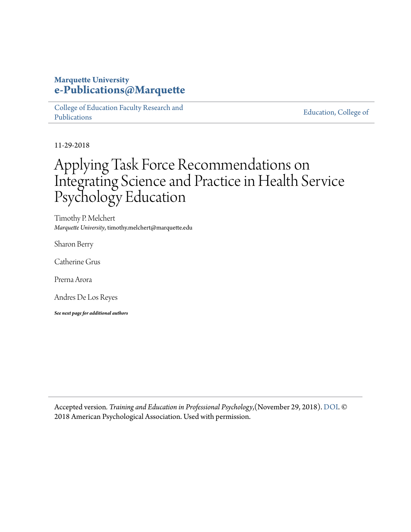#### **Marquette University [e-Publications@Marquette](https://epublications.marquette.edu)**

[College of Education Faculty Research and](https://epublications.marquette.edu/edu_fac) [Publications](https://epublications.marquette.edu/edu_fac)

[Education, College of](https://epublications.marquette.edu/education)

11-29-2018

## Applying Task Force Recommendations on Integrating Science and Practice in Health Service Psychology Education

Timothy P. Melchert *Marquette University*, timothy.melchert@marquette.edu

Sharon Berry

Catherine Grus

Prerna Arora

Andres De Los Reyes

*See next page for additional authors*

Accepted version*. Training and Education in Professional Psychology*,(November 29, 2018). [DOI.](https://doi.org/10.1037/tep0000222) © 2018 American Psychological Association. Used with permission.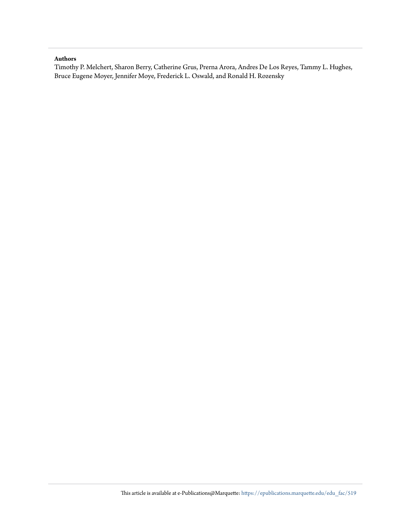#### **Authors**

Timothy P. Melchert, Sharon Berry, Catherine Grus, Prerna Arora, Andres De Los Reyes, Tammy L. Hughes, Bruce Eugene Moyer, Jennifer Moye, Frederick L. Oswald, and Ronald H. Rozensky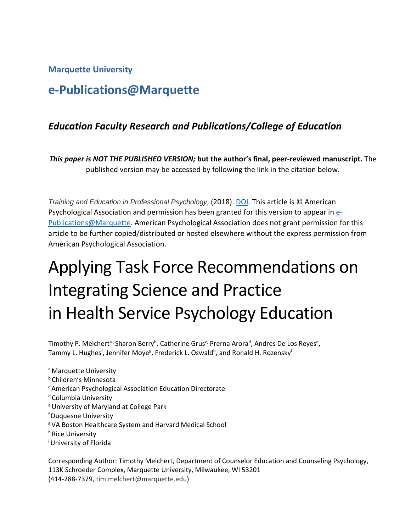#### **Marquette University**

## **e-Publications@Marquette**

#### *Education Faculty Research and Publications/College of Education*

*This paper is NOT THE PUBLISHED VERSION;* **but the author's final, peer-reviewed manuscript.** The published version may be accessed by following the link in the citation below.

*Training and Education in Professional Psychology*, (2018). [DOI.](http://dx.doi.org/10.1037/tep0000222) This article is © American Psychological Association and permission has been granted for this version to appear in  $e$ -[Publications@Marquette.](http://epublications.marquette.edu/) American Psychological Association does not grant permission for this article to be further copied/distributed or hosted elsewhere without the express permission from American Psychological Association.

# Applying Task Force Recommendations on Integrating Science and Practice in Health Service Psychology Education

Timothy P. Melchert<sup>a,</sup> Sharon Berry<sup>b</sup>, Catherine Grus<sup>c,</sup> Prerna Arora<sup>d</sup>, Andres De Los Reyes<sup>e</sup>, Tammy L. Hughes<sup>f</sup>, Jennifer Moye<sup>g</sup>, Frederick L. Oswald<sup>h</sup>, and Ronald H. Rozensky<sup>i</sup>

a Marquette University b Children's Minnesota c American Psychological Association Education Directorate <sup>d</sup> Columbia University e University of Maryland at College Park f Duquesne University g VA Boston Healthcare System and Harvard Medical School h Rice University <sup>i</sup> University of Florida

Corresponding Author: Timothy Melchert, Department of Counselor Education and Counseling Psychology, 113K Schroeder Complex, Marquette University, Milwaukee, WI 53201 (414-288-7379, [tim.melchert@marquette.edu\)](mailto:tim.melchert@marquette.edu)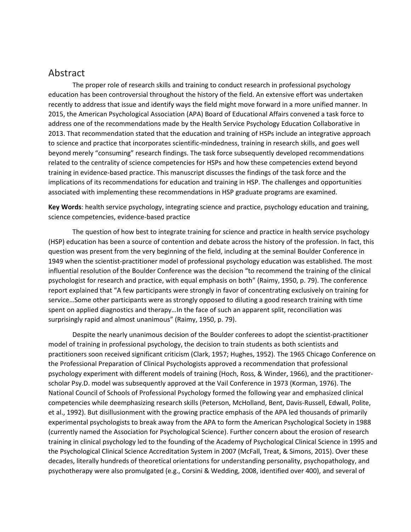#### Abstract

The proper role of research skills and training to conduct research in professional psychology education has been controversial throughout the history of the field. An extensive effort was undertaken recently to address that issue and identify ways the field might move forward in a more unified manner. In 2015, the American Psychological Association (APA) Board of Educational Affairs convened a task force to address one of the recommendations made by the Health Service Psychology Education Collaborative in 2013. That recommendation stated that the education and training of HSPs include an integrative approach to science and practice that incorporates scientific-mindedness, training in research skills, and goes well beyond merely "consuming" research findings. The task force subsequently developed recommendations related to the centrality of science competencies for HSPs and how these competencies extend beyond training in evidence-based practice. This manuscript discusses the findings of the task force and the implications of its recommendations for education and training in HSP. The challenges and opportunities associated with implementing these recommendations in HSP graduate programs are examined.

**Key Words**: health service psychology, integrating science and practice, psychology education and training, science competencies, evidence-based practice

The question of how best to integrate training for science and practice in health service psychology (HSP) education has been a source of contention and debate across the history of the profession. In fact, this question was present from the very beginning of the field, including at the seminal Boulder Conference in 1949 when the scientist-practitioner model of professional psychology education was established. The most influential resolution of the Boulder Conference was the decision "to recommend the training of the clinical psychologist for research and practice, with equal emphasis on both" (Raimy, 1950, p. 79). The conference report explained that "A few participants were strongly in favor of concentrating exclusively on training for service…Some other participants were as strongly opposed to diluting a good research training with time spent on applied diagnostics and therapy…In the face of such an apparent split, reconciliation was surprisingly rapid and almost unanimous" (Raimy, 1950, p. 79).

Despite the nearly unanimous decision of the Boulder conferees to adopt the scientist-practitioner model of training in professional psychology, the decision to train students as both scientists and practitioners soon received significant criticism (Clark, 1957; Hughes, 1952). The 1965 Chicago Conference on the Professional Preparation of Clinical Psychologists approved a recommendation that professional psychology experiment with different models of training (Hoch, Ross, & Winder, 1966), and the practitionerscholar Psy.D. model was subsequently approved at the Vail Conference in 1973 (Korman, 1976). The National Council of Schools of Professional Psychology formed the following year and emphasized clinical competencies while deemphasizing research skills (Peterson, McHolland, Bent, Davis-Russell, Edwall, Polite, et al., 1992). But disillusionment with the growing practice emphasis of the APA led thousands of primarily experimental psychologists to break away from the APA to form the American Psychological Society in 1988 (currently named the Association for Psychological Science). Further concern about the erosion of research training in clinical psychology led to the founding of the Academy of Psychological Clinical Science in 1995 and the Psychological Clinical Science Accreditation System in 2007 (McFall, Treat, & Simons, 2015). Over these decades, literally hundreds of theoretical orientations for understanding personality, psychopathology, and psychotherapy were also promulgated (e.g., Corsini & Wedding, 2008, identified over 400), and several of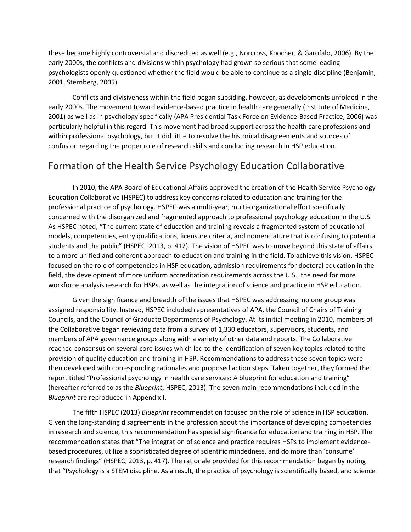these became highly controversial and discredited as well (e.g., Norcross, Koocher, & Garofalo, 2006). By the early 2000s, the conflicts and divisions within psychology had grown so serious that some leading psychologists openly questioned whether the field would be able to continue as a single discipline (Benjamin, 2001, Sternberg, 2005).

Conflicts and divisiveness within the field began subsiding, however, as developments unfolded in the early 2000s. The movement toward evidence-based practice in health care generally (Institute of Medicine, 2001) as well as in psychology specifically (APA Presidential Task Force on Evidence-Based Practice, 2006) was particularly helpful in this regard. This movement had broad support across the health care professions and within professional psychology, but it did little to resolve the historical disagreements and sources of confusion regarding the proper role of research skills and conducting research in HSP education.

#### Formation of the Health Service Psychology Education Collaborative

In 2010, the APA Board of Educational Affairs approved the creation of the Health Service Psychology Education Collaborative (HSPEC) to address key concerns related to education and training for the professional practice of psychology. HSPEC was a multi-year, multi-organizational effort specifically concerned with the disorganized and fragmented approach to professional psychology education in the U.S. As HSPEC noted, "The current state of education and training reveals a fragmented system of educational models, competencies, entry qualifications, licensure criteria, and nomenclature that is confusing to potential students and the public" (HSPEC, 2013, p. 412). The vision of HSPEC was to move beyond this state of affairs to a more unified and coherent approach to education and training in the field. To achieve this vision, HSPEC focused on the role of competencies in HSP education, admission requirements for doctoral education in the field, the development of more uniform accreditation requirements across the U.S., the need for more workforce analysis research for HSPs, as well as the integration of science and practice in HSP education.

Given the significance and breadth of the issues that HSPEC was addressing, no one group was assigned responsibility. Instead, HSPEC included representatives of APA, the Council of Chairs of Training Councils, and the Council of Graduate Departments of Psychology. At its initial meeting in 2010, members of the Collaborative began reviewing data from a survey of 1,330 educators, supervisors, students, and members of APA governance groups along with a variety of other data and reports. The Collaborative reached consensus on several core issues which led to the identification of seven key topics related to the provision of quality education and training in HSP. Recommendations to address these seven topics were then developed with corresponding rationales and proposed action steps. Taken together, they formed the report titled "Professional psychology in health care services: A blueprint for education and training" (hereafter referred to as the *Blueprint*; HSPEC, 2013). The seven main recommendations included in the *Blueprint* are reproduced in Appendix I.

The fifth HSPEC (2013) *Blueprint* recommendation focused on the role of science in HSP education. Given the long-standing disagreements in the profession about the importance of developing competencies in research and science, this recommendation has special significance for education and training in HSP. The recommendation states that "The integration of science and practice requires HSPs to implement evidencebased procedures, utilize a sophisticated degree of scientific mindedness, and do more than 'consume' research findings" (HSPEC, 2013, p. 417). The rationale provided for this recommendation began by noting that "Psychology is a STEM discipline. As a result, the practice of psychology is scientifically based, and science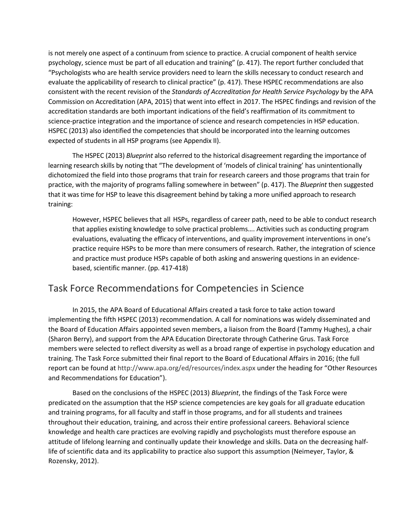is not merely one aspect of a continuum from science to practice. A crucial component of health service psychology, science must be part of all education and training" (p. 417). The report further concluded that "Psychologists who are health service providers need to learn the skills necessary to conduct research and evaluate the applicability of research to clinical practice" (p. 417). These HSPEC recommendations are also consistent with the recent revision of the *Standards of Accreditation for Health Service Psychology* by the APA Commission on Accreditation (APA, 2015) that went into effect in 2017. The HSPEC findings and revision of the accreditation standards are both important indications of the field's reaffirmation of its commitment to science-practice integration and the importance of science and research competencies in HSP education. HSPEC (2013) also identified the competencies that should be incorporated into the learning outcomes expected of students in all HSP programs (see Appendix II).

The HSPEC (2013) *Blueprint* also referred to the historical disagreement regarding the importance of learning research skills by noting that "The development of 'models of clinical training' has unintentionally dichotomized the field into those programs that train for research careers and those programs that train for practice, with the majority of programs falling somewhere in between" (p. 417). The *Blueprint* then suggested that it was time for HSP to leave this disagreement behind by taking a more unified approach to research training:

However, HSPEC believes that all HSPs, regardless of career path, need to be able to conduct research that applies existing knowledge to solve practical problems…. Activities such as conducting program evaluations, evaluating the efficacy of interventions, and quality improvement interventions in one's practice require HSPs to be more than mere consumers of research. Rather, the integration of science and practice must produce HSPs capable of both asking and answering questions in an evidencebased, scientific manner. (pp. 417-418)

### Task Force Recommendations for Competencies in Science

In 2015, the APA Board of Educational Affairs created a task force to take action toward implementing the fifth HSPEC (2013) recommendation. A call for nominations was widely disseminated and the Board of Education Affairs appointed seven members, a liaison from the Board (Tammy Hughes), a chair (Sharon Berry), and support from the APA Education Directorate through Catherine Grus. Task Force members were selected to reflect diversity as well as a broad range of expertise in psychology education and training. The Task Force submitted their final report to the Board of Educational Affairs in 2016; (the full report can be found at<http://www.apa.org/ed/resources/index.aspx> under the heading for "Other Resources and Recommendations for Education").

Based on the conclusions of the HSPEC (2013) *Blueprint*, the findings of the Task Force were predicated on the assumption that the HSP science competencies are key goals for all graduate education and training programs, for all faculty and staff in those programs, and for all students and trainees throughout their education, training, and across their entire professional careers. Behavioral science knowledge and health care practices are evolving rapidly and psychologists must therefore espouse an attitude of lifelong learning and continually update their knowledge and skills. Data on the decreasing halflife of scientific data and its applicability to practice also support this assumption (Neimeyer, Taylor, & Rozensky, 2012).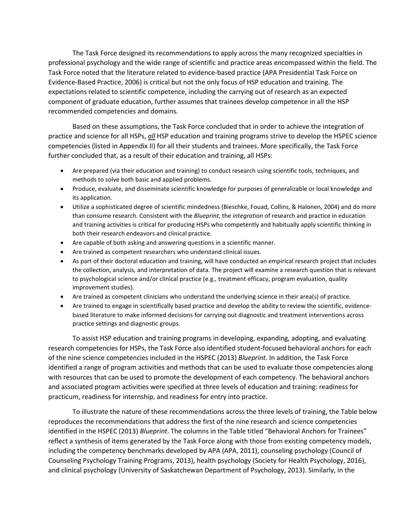The Task Force designed its recommendations to apply across the many recognized specialties in professional psychology and the wide range of scientific and practice areas encompassed within the field. The Task Force noted that the literature related to evidence-based practice (APA Presidential Task Force on Evidence-Based Practice, 2006) is critical but not the only focus of HSP education and training. The expectations related to scientific competence, including the carrying out of research as an expected component of graduate education, further assumes that trainees develop competence in all the HSP recommended competencies and domains.

Based on these assumptions, the Task Force concluded that in order to achieve the integration of practice and science for all HSPs, *all* HSP education and training programs strive to develop the HSPEC science competencies (listed in Appendix II) for all their students and trainees. More specifically, the Task Force further concluded that, as a result of their education and training, all HSPs:

- Are prepared (via their education and training) to conduct research using scientific tools, techniques, and methods to solve both basic and applied problems.
- Produce, evaluate, and disseminate scientific knowledge for purposes of generalizable or local knowledge and its application.
- Utilize a sophisticated degree of scientific mindedness (Bieschke, Fouad, Collins, & Halonen, 2004) and do more than consume research. Consistent with the *Blueprint*, the *integration* of research and practice in education and training activities is critical for producing HSPs who competently and habitually apply scientific thinking in both their research endeavors and clinical practice.
- Are capable of both asking and answering questions in a scientific manner.
- Are trained as competent researchers who understand clinical issues.
- As part of their doctoral education and training, will have conducted an empirical research project that includes the collection, analysis, and interpretation of data. The project will examine a research question that is relevant to psychological science and/or clinical practice (e.g., treatment efficacy, program evaluation, quality improvement studies).
- Are trained as competent clinicians who understand the underlying science in their area(s) of practice.
- Are trained to engage in scientifically based practice and develop the ability to review the scientific, evidencebased literature to make informed decisions for carrying out diagnostic and treatment interventions across practice settings and diagnostic groups.

To assist HSP education and training programs in developing, expanding, adopting, and evaluating research competencies for HSPs, the Task Force also identified student-focused behavioral anchors for each of the nine science competencies included in the HSPEC (2013) *Blueprint*. In addition, the Task Force identified a range of program activities and methods that can be used to evaluate those competencies along with resources that can be used to promote the development of each competency. The behavioral anchors and associated program activities were specified at three levels of education and training: readiness for practicum, readiness for internship, and readiness for entry into practice.

To illustrate the nature of these recommendations across the three levels of training, the Table below reproduces the recommendations that address the first of the nine research and science competencies identified in the HSPEC (2013) *Blueprint*. The columns in the Table titled "Behavioral Anchors for Trainees" reflect a synthesis of items generated by the Task Force along with those from existing competency models, including the competency benchmarks developed by APA (APA, 2011), counseling psychology (Council of Counseling Psychology Training Programs, 2013), health psychology (Society for Health Psychology, 2016), and clinical psychology (University of Saskatchewan Department of Psychology, 2013). Similarly, in the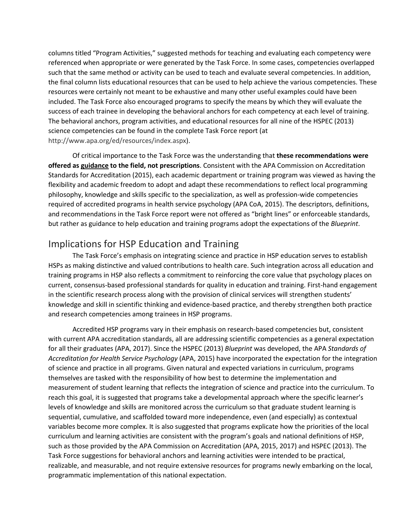columns titled "Program Activities," suggested methods for teaching and evaluating each competency were referenced when appropriate or were generated by the Task Force. In some cases, competencies overlapped such that the same method or activity can be used to teach and evaluate several competencies. In addition, the final column lists educational resources that can be used to help achieve the various competencies. These resources were certainly not meant to be exhaustive and many other useful examples could have been included. The Task Force also encouraged programs to specify the means by which they will evaluate the success of each trainee in developing the behavioral anchors for each competency at each level of training. The behavioral anchors, program activities, and educational resources for all nine of the HSPEC (2013) science competencies can be found in the complete Task Force report (at [http://www.apa.org/ed/resources/index.aspx\)](http://www.apa.org/ed/resources/index.aspx).

Of critical importance to the Task Force was the understanding that **these recommendations were offered as guidance to the field, not prescriptions**. Consistent with the APA Commission on Accreditation Standards for Accreditation (2015), each academic department or training program was viewed as having the flexibility and academic freedom to adopt and adapt these recommendations to reflect local programming philosophy, knowledge and skills specific to the specialization, as well as profession-wide competencies required of accredited programs in health service psychology (APA CoA, 2015). The descriptors, definitions, and recommendations in the Task Force report were not offered as "bright lines" or enforceable standards, but rather as guidance to help education and training programs adopt the expectations of the *Blueprint*.

#### Implications for HSP Education and Training

The Task Force's emphasis on integrating science and practice in HSP education serves to establish HSPs as making distinctive and valued contributions to health care. Such integration across all education and training programs in HSP also reflects a commitment to reinforcing the core value that psychology places on current, consensus-based professional standards for quality in education and training. First-hand engagement in the scientific research process along with the provision of clinical services will strengthen students' knowledge and skill in scientific thinking and evidence-based practice, and thereby strengthen both practice and research competencies among trainees in HSP programs.

Accredited HSP programs vary in their emphasis on research-based competencies but, consistent with current APA accreditation standards, all are addressing scientific competencies as a general expectation for all their graduates (APA, 2017). Since the HSPEC (2013) *Blueprint* was developed, the APA *Standards of Accreditation for Health Service Psychology* (APA, 2015) have incorporated the expectation for the integration of science and practice in all programs. Given natural and expected variations in curriculum, programs themselves are tasked with the responsibility of how best to determine the implementation and measurement of student learning that reflects the integration of science and practice into the curriculum. To reach this goal, it is suggested that programs take a developmental approach where the specific learner's levels of knowledge and skills are monitored across the curriculum so that graduate student learning is sequential, cumulative, and scaffolded toward more independence, even (and especially) as contextual variables become more complex. It is also suggested that programs explicate how the priorities of the local curriculum and learning activities are consistent with the program's goals and national definitions of HSP, such as those provided by the APA Commission on Accreditation (APA, 2015, 2017) and HSPEC (2013). The Task Force suggestions for behavioral anchors and learning activities were intended to be practical, realizable, and measurable, and not require extensive resources for programs newly embarking on the local, programmatic implementation of this national expectation.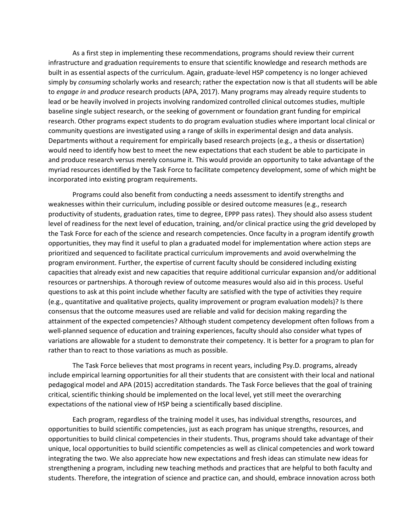As a first step in implementing these recommendations, programs should review their current infrastructure and graduation requirements to ensure that scientific knowledge and research methods are built in as essential aspects of the curriculum. Again, graduate-level HSP competency is no longer achieved simply by *consuming* scholarly works and research; rather the expectation now is that all students will be able to *engage in* and *produce* research products (APA, 2017). Many programs may already require students to lead or be heavily involved in projects involving randomized controlled clinical outcomes studies, multiple baseline single subject research, or the seeking of government or foundation grant funding for empirical research. Other programs expect students to do program evaluation studies where important local clinical or community questions are investigated using a range of skills in experimental design and data analysis. Departments without a requirement for empirically based research projects (e.g., a thesis or dissertation) would need to identify how best to meet the new expectations that each student be able to participate in and produce research versus merely consume it. This would provide an opportunity to take advantage of the myriad resources identified by the Task Force to facilitate competency development, some of which might be incorporated into existing program requirements.

Programs could also benefit from conducting a needs assessment to identify strengths and weaknesses within their curriculum, including possible or desired outcome measures (e.g., research productivity of students, graduation rates, time to degree, EPPP pass rates). They should also assess student level of readiness for the next level of education, training, and/or clinical practice using the grid developed by the Task Force for each of the science and research competencies. Once faculty in a program identify growth opportunities, they may find it useful to plan a graduated model for implementation where action steps are prioritized and sequenced to facilitate practical curriculum improvements and avoid overwhelming the program environment. Further, the expertise of current faculty should be considered including existing capacities that already exist and new capacities that require additional curricular expansion and/or additional resources or partnerships. A thorough review of outcome measures would also aid in this process. Useful questions to ask at this point include whether faculty are satisfied with the type of activities they require (e.g., quantitative and qualitative projects, quality improvement or program evaluation models)? Is there consensus that the outcome measures used are reliable and valid for decision making regarding the attainment of the expected competencies? Although student competency development often follows from a well-planned sequence of education and training experiences, faculty should also consider what types of variations are allowable for a student to demonstrate their competency. It is better for a program to plan for rather than to react to those variations as much as possible.

The Task Force believes that most programs in recent years, including Psy.D. programs, already include empirical learning opportunities for all their students that are consistent with their local and national pedagogical model and APA (2015) accreditation standards. The Task Force believes that the goal of training critical, scientific thinking should be implemented on the local level, yet still meet the overarching expectations of the national view of HSP being a scientifically based discipline.

Each program, regardless of the training model it uses, has individual strengths, resources, and opportunities to build scientific competencies, just as each program has unique strengths, resources, and opportunities to build clinical competencies in their students. Thus, programs should take advantage of their unique, local opportunities to build scientific competencies as well as clinical competencies and work toward integrating the two. We also appreciate how new expectations and fresh ideas can stimulate new ideas for strengthening a program, including new teaching methods and practices that are helpful to both faculty and students. Therefore, the integration of science and practice can, and should, embrace innovation across both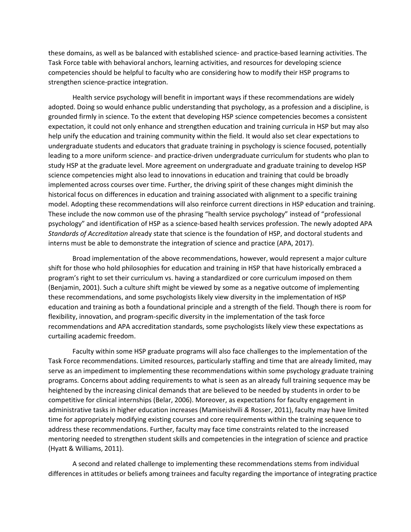these domains, as well as be balanced with established science- and practice-based learning activities. The Task Force table with behavioral anchors, learning activities, and resources for developing science competencies should be helpful to faculty who are considering how to modify their HSP programs to strengthen science-practice integration.

Health service psychology will benefit in important ways if these recommendations are widely adopted. Doing so would enhance public understanding that psychology, as a profession and a discipline, is grounded firmly in science. To the extent that developing HSP science competencies becomes a consistent expectation, it could not only enhance and strengthen education and training curricula in HSP but may also help unify the education and training community within the field. It would also set clear expectations to undergraduate students and educators that graduate training in psychology is science focused, potentially leading to a more uniform science- and practice-driven undergraduate curriculum for students who plan to study HSP at the graduate level. More agreement on undergraduate and graduate training to develop HSP science competencies might also lead to innovations in education and training that could be broadly implemented across courses over time. Further, the driving spirit of these changes might diminish the historical focus on differences in education and training associated with alignment to a specific training model. Adopting these recommendations will also reinforce current directions in HSP education and training. These include the now common use of the phrasing "health service psychology" instead of "professional psychology" and identification of HSP as a science-based health services profession. The newly adopted APA *Standards of Accreditation* already state that science is the foundation of HSP, and doctoral students and interns must be able to demonstrate the integration of science and practice (APA, 2017).

Broad implementation of the above recommendations, however, would represent a major culture shift for those who hold philosophies for education and training in HSP that have historically embraced a program's right to set their curriculum vs. having a standardized or core curriculum imposed on them (Benjamin, 2001). Such a culture shift might be viewed by some as a negative outcome of implementing these recommendations, and some psychologists likely view diversity in the implementation of HSP education and training as both a foundational principle and a strength of the field. Though there is room for flexibility, innovation, and program-specific diversity in the implementation of the task force recommendations and APA accreditation standards, some psychologists likely view these expectations as curtailing academic freedom.

Faculty within some HSP graduate programs will also face challenges to the implementation of the Task Force recommendations. Limited resources, particularly staffing and time that are already limited, may serve as an impediment to implementing these recommendations within some psychology graduate training programs. Concerns about adding requirements to what is seen as an already full training sequence may be heightened by the increasing clinical demands that are believed to be needed by students in order to be competitive for clinical internships (Belar, 2006). Moreover, as expectations for faculty engagement in administrative tasks in higher education increases (Mamiseishvili *&* Rosser, 2011), faculty may have limited time for appropriately modifying existing courses and core requirements within the training sequence to address these recommendations. Further, faculty may face time constraints related to the increased mentoring needed to strengthen student skills and competencies in the integration of science and practice (Hyatt & Williams, 2011).

A second and related challenge to implementing these recommendations stems from individual differences in attitudes or beliefs among trainees and faculty regarding the importance of integrating practice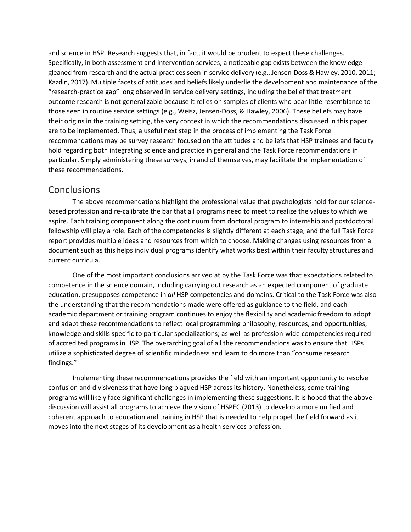and science in HSP. Research suggests that, in fact, it would be prudent to expect these challenges. Specifically, in both assessment and intervention services, a noticeable gap exists between the knowledge gleaned from research and the actual practices seen in service delivery (e.g., Jensen-Doss & Hawley, 2010, 2011; Kazdin, 2017). Multiple facets of attitudes and beliefs likely underlie the development and maintenance of the "research-practice gap" long observed in service delivery settings, including the belief that treatment outcome research is not generalizable because it relies on samples of clients who bear little resemblance to those seen in routine service settings (e.g., Weisz, Jensen-Doss, & Hawley, 2006). These beliefs may have their origins in the training setting, the very context in which the recommendations discussed in this paper are to be implemented. Thus, a useful next step in the process of implementing the Task Force recommendations may be survey research focused on the attitudes and beliefs that HSP trainees and faculty hold regarding both integrating science and practice in general and the Task Force recommendations in particular. Simply administering these surveys, in and of themselves, may facilitate the implementation of these recommendations.

#### **Conclusions**

The above recommendations highlight the professional value that psychologists hold for our sciencebased profession and re-calibrate the bar that all programs need to meet to realize the values to which we aspire. Each training component along the continuum from doctoral program to internship and postdoctoral fellowship will play a role. Each of the competencies is slightly different at each stage, and the full Task Force report provides multiple ideas and resources from which to choose. Making changes using resources from a document such as this helps individual programs identify what works best within their faculty structures and current curricula.

One of the most important conclusions arrived at by the Task Force was that expectations related to competence in the science domain, including carrying out research as an expected component of graduate education, presupposes competence in *all* HSP competencies and domains. Critical to the Task Force was also the understanding that the recommendations made were offered as guidance to the field, and each academic department or training program continues to enjoy the flexibility and academic freedom to adopt and adapt these recommendations to reflect local programming philosophy, resources, and opportunities; knowledge and skills specific to particular specializations; as well as profession-wide competencies required of accredited programs in HSP. The overarching goal of all the recommendations was to ensure that HSPs utilize a sophisticated degree of scientific mindedness and learn to do more than "consume research findings."

Implementing these recommendations provides the field with an important opportunity to resolve confusion and divisiveness that have long plagued HSP across its history. Nonetheless, some training programs will likely face significant challenges in implementing these suggestions. It is hoped that the above discussion will assist all programs to achieve the vision of HSPEC (2013) to develop a more unified and coherent approach to education and training in HSP that is needed to help propel the field forward as it moves into the next stages of its development as a health services profession.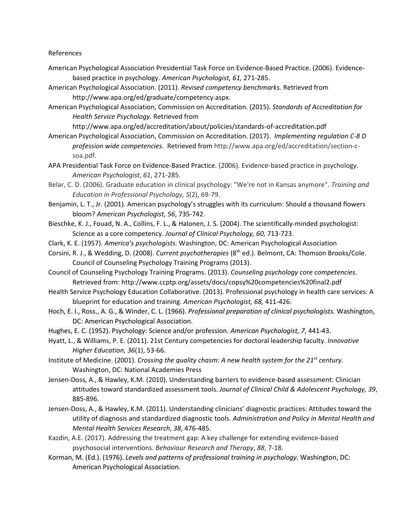#### References

- American Psychological Association Presidential Task Force on Evidence-Based Practice. (2006). Evidencebased practice in psychology. *American Psychologist, 61,* 271-285.
- American Psychological Association. (2011). *Revised competency benchmarks.* Retrieved from http://www.apa.org/ed/graduate/competency.aspx.
- American Psychological Association, Commission on Accreditation. (2015). *Standards of Accreditation for Health Service Psychology.* Retrieved from

http://www.apa.org/ed/accreditation/about/policies/standards-of-accreditation.pdf

- American Psychological Association, Commission on Accreditation. (2017). *Implementing regulation C-8 D profession wide competencies*. Retrieved from [http://www.apa.org/ed/accreditation/section-c](http://www.apa.org/ed/accreditation/section-c-soa.pdf)[soa.pdf.](http://www.apa.org/ed/accreditation/section-c-soa.pdf)
- APA Presidential Task Force on Evidence-Based Practice. (2006). Evidence-based practice in psychology. *American Psychologist*, *61*, 271-285.
- Belar, C. D. (2006). Graduate education in clinical psychology: "We're not in Kansas anymore". *Training and Education in Professional Psychology, S*(2), 69-79.
- Benjamin, L. T., Jr. (2001). American psychology's struggles with its curriculum: Should a thousand flowers bloom? *American Psychologist, 56*, 735-742.
- Bieschke, K. J., Fouad, N. A., Collins, F. L., & Halonen, J. S. (2004). The scientifically-minded psychologist: Science as a core competency. *Journal of Clinical Psychology, 60,* 713-723.
- Clark, K. E. (1957). *America's psychologists.* Washington, DC: American Psychological Association
- Corsini, R. J., & Wedding, D. (2008). *Current psychotherapies* (8th ed.). Belmont, CA: Thomson Brooks/Cole. Council of Counseling Psychology Training Programs (2013).
- Council of Counseling Psychology Training Programs. (2013). *Counseling psychology core competencies.* Retrieved from: http://www.ccptp.org/assets/docs/copsy%20competencies%20final2.pdf
- Health Service Psychology Education Collaborative. (2013). Professional psychology in health care services: A blueprint for education and training. *American Psychologist, 68,* 411-426.
- Hoch, E. I., Ross., A. G., & Winder, C. L. (1966). *Professional preparation of clinical psychologists.* Washington, DC: American Psychological Association.
- Hughes, E. C. (1952). Psychology: Science and/or profession. *American Psychologist, 7*, 441-43.
- Hyatt, L., & Williams, P. E. (2011). 21st Century competencies for doctoral leadership faculty. *Innovative Higher Education, 36*(1), 53-66.
- Institute of Medicine. (2001). *Crossing the quality chasm: A new health system for the 21st century.* Washington, DC: National Academies Press
- Jensen-Doss, A., & Hawley, K.M. (2010). Understanding barriers to evidence-based assessment: Clinician attitudes toward standardized assessment tools. *Journal of Clinical Child & Adolescent Psychology, 39*, 885-896.
- Jensen-Doss, A., & Hawley, K.M. (2011). Understanding clinicians' diagnostic practices: Attitudes toward the utility of diagnosis and standardized diagnostic tools. *Administration and Policy in Mental Health and Mental Health Services Research*, *38*, 476-485.
- Kazdin, A.E. (2017). Addressing the treatment gap: A key challenge for extending evidence-based psychosocial interventions. *Behaviour Research and Therapy*, *88*, 7-18.
- Korman, M. (Ed.). (1976). *Levels and patterns of professional training in psychology.* Washington, DC: American Psychological Association.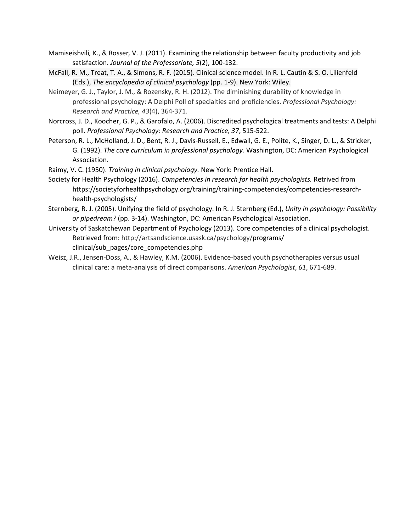- Mamiseishvili*,* K., & Rosser*,* V. J. (2011). Examining the relationship between faculty productivity and job satisfaction. *Journal of the Professoriate, 5*(2), 100-132.
- McFall, R. M., Treat, T. A., & Simons, R. F. (2015). Clinical science model. In R. L. Cautin & S. O. Lilienfeld (Eds.), *The encyclopedia of clinical psychology* (pp. 1-9). New York: Wiley.
- Neimeyer, G. J., Taylor, J. M., & Rozensky, R. H. (2012). The diminishing durability of knowledge in professional psychology: A Delphi Poll of specialties and proficiencies. *Professional Psychology: Research and Practice, 43*(4), 364-371.
- Norcross, J. D., Koocher, G. P., & Garofalo, A. (2006). Discredited psychological treatments and tests: A Delphi poll. *Professional Psychology: Research and Practice, 37*, 515-522.
- Peterson, R. L., McHolland, J. D., Bent, R. J., Davis-Russell, E., Edwall, G. E., Polite, K., Singer, D. L., & Stricker, G. (1992). *The core curriculum in professional psychology.* Washington, DC: American Psychological Association.
- Raimy, V. C. (1950). *Training in clinical psychology.* New York: Prentice Hall.
- Society for Health Psychology (2016). *Competencies in research for health psychologists.* Retrived from https://societyforhealthpsychology.org/training/training-competencies/competencies-researchhealth-psychologists/
- Sternberg, R. J. (2005). Unifying the field of psychology. In R. J. Sternberg (Ed.), *Unity in psychology: Possibility or pipedream?* (pp. 3-14). Washington, DC: American Psychological Association.
- University of Saskatchewan Department of Psychology (2013). Core competencies of a clinical psychologist. Retrieved from: [http://artsandscience.usask.ca/psychology/p](http://artsandscience.usask.ca/psychology/)rograms/ clinical/sub\_pages/core\_competencies.php
- Weisz, J.R., Jensen-Doss, A., & Hawley, K.M. (2006). Evidence-based youth psychotherapies versus usual clinical care: a meta-analysis of direct comparisons. *American Psychologist*, *61*, 671-689.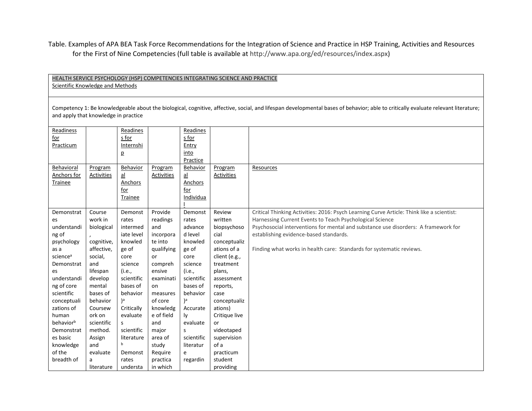Table. Examples of APA BEA Task Force Recommendations for the Integration of Science and Practice in HSP Training, Activities and Resources for the First of Nine Competencies (full table is available at [http://www.apa.org/ed/resources/index.aspx\)](http://www.apa.org/ed/resources/index.aspx)

HEALTH SERVICE PSYCHOLOGY (HSP) COMPETENCIES INTEGRATING SCIENCE AND PRACTICE Scientific Knowledge and Methods Competency 1: Be knowledgeable about the biological, cognitive, affective, social, and lifespan developmental bases of behavior; able to critically evaluate relevant literature; and apply that knowledge in practice Readiness for Practicum Readines s for Internshi p Readines s for Entry into Practice Behavioral Anchors for Trainee Program Activities Behavior al Anchors for Trainee Program Activities Behavior al Anchors for Individua l Program Activities Resources Demonstrat es understandi ng of psychology as a sciencea Demonstrat es understandi ng of core scientific conceptuali zations of human behaviorb Demonstrat es basic knowledge of the breadth of Course work in biological , cognitive, affective, social, and lifespan develop mental bases of behavior Coursew ork on scientific method. Assign and evaluate a literature Demonst rates intermed iate level knowled ge of core science (i.e., scientific bases of behavior )a **Critically** evaluate s scientific literature b Demonst rates understa Provide readings and incorpora te into qualifying or compreh ensive examinati on measures of core knowledg e of field and major area of study Require practica in which Demonst rates advance d level knowled ge of core science (i.e., scientific bases of behavior )a Accurate ly evaluate s scientific literatur e regardin Review written biopsychoso cial conceptualiz ations of a client (e.g., treatment plans, assessment reports, case conceptualiz ations) Critique live or videotaped supervision of a practicum student providing [Critical Thinking Activities: 2016: Psych Learning Curve Article: Think like a scientist:](http://www.apa.org/ed/precollege/ptn/2015/12/think-like-scientist.aspx)  [Harnessing Current Events to Teach Psychological Science](http://www.apa.org/ed/precollege/ptn/2015/12/think-like-scientist.aspx) [Psychosocial interventions for mental and substance use disorders: A framework for](http://www.nationalacademies.org/hmd/reports/2015/psychosocial-interventions-mental-substance-abuse-disorders.aspx)  [establishing evidence-based standards.](http://www.nationalacademies.org/hmd/reports/2015/psychosocial-interventions-mental-substance-abuse-disorders.aspx) [Finding what works in health care: Standards for systematic](http://nationalacademies.org/hmd/reports/2011/finding-what-works-in-health-care-standards-for-systematic-reviews.aspx) reviews.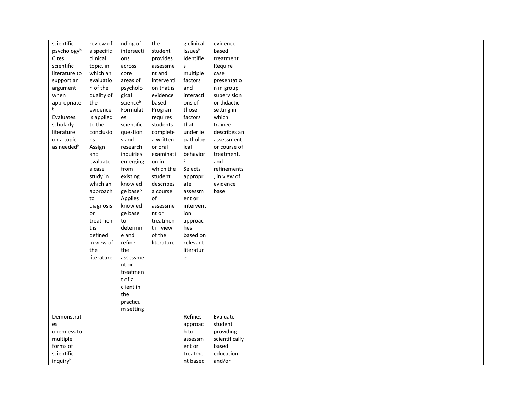| scientific             | review of  | nding of   | the        | g clinical | evidence-      |  |
|------------------------|------------|------------|------------|------------|----------------|--|
| psychologyb            | a specific | intersecti | student    | issuesb    | based          |  |
| Cites                  | clinical   | ons        | provides   | Identifie  | treatment      |  |
| scientific             | topic, in  | across     | assessme   | s          | Require        |  |
| literature to          | which an   | core       | nt and     | multiple   | case           |  |
| support an             | evaluatio  | areas of   | interventi | factors    | presentatio    |  |
| argument               | n of the   | psycholo   | on that is | and        | n in group     |  |
| when                   | quality of | gical      | evidence   | interacti  | supervision    |  |
| appropriate            | the        | scienceb   | based      | ons of     | or didactic    |  |
| b                      | evidence   | Formulat   | Program    | those      | setting in     |  |
| Evaluates              | is applied | es         | requires   | factors    | which          |  |
| scholarly              | to the     | scientific | students   | that       | trainee        |  |
| literature             | conclusio  | question   | complete   | underlie   | describes an   |  |
| on a topic             | ns         | s and      | a written  | patholog   | assessment     |  |
| as needed <sup>b</sup> | Assign     | research   | or oral    | ical       | or course of   |  |
|                        | and        | inquiries  | examinati  | behavior   | treatment,     |  |
|                        | evaluate   | emerging   | on in      | b          | and            |  |
|                        | a case     | from       | which the  | Selects    | refinements    |  |
|                        | study in   | existing   | student    |            | , in view of   |  |
|                        |            |            |            | appropri   |                |  |
|                        | which an   | knowled    | describes  | ate        | evidence       |  |
|                        | approach   | ge baseb   | a course   | assessm    | base           |  |
|                        | to         | Applies    | of         | ent or     |                |  |
|                        | diagnosis  | knowled    | assessme   | intervent  |                |  |
|                        | or         | ge base    | nt or      | ion        |                |  |
|                        | treatmen   | to         | treatmen   | approac    |                |  |
|                        | t is       | determin   | t in view  | hes        |                |  |
|                        | defined    | e and      | of the     | based on   |                |  |
|                        | in view of | refine     | literature | relevant   |                |  |
|                        | the        | the        |            | literatur  |                |  |
|                        | literature | assessme   |            | e          |                |  |
|                        |            | nt or      |            |            |                |  |
|                        |            | treatmen   |            |            |                |  |
|                        |            | t of a     |            |            |                |  |
|                        |            | client in  |            |            |                |  |
|                        |            | the        |            |            |                |  |
|                        |            | practicu   |            |            |                |  |
|                        |            | m setting  |            |            |                |  |
| Demonstrat             |            |            |            | Refines    | Evaluate       |  |
| es                     |            |            |            | approac    | student        |  |
| openness to            |            |            |            | h to       | providing      |  |
| multiple               |            |            |            | assessm    | scientifically |  |
| forms of               |            |            |            | ent or     | based          |  |
| scientific             |            |            |            | treatme    | education      |  |
| inquiryb               |            |            |            | nt based   | and/or         |  |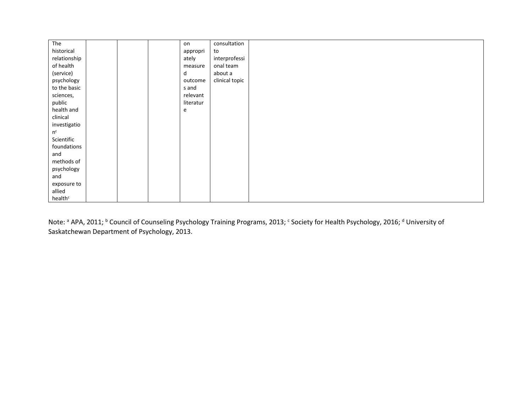| The          |  | on        | consultation   |  |
|--------------|--|-----------|----------------|--|
| historical   |  | appropri  | to             |  |
| relationship |  | ately     | interprofessi  |  |
| of health    |  | measure   | onal team      |  |
| (service)    |  | d         | about a        |  |
| psychology   |  | outcome   | clinical topic |  |
| to the basic |  | s and     |                |  |
| sciences,    |  | relevant  |                |  |
| public       |  | literatur |                |  |
| health and   |  | e         |                |  |
| clinical     |  |           |                |  |
| investigatio |  |           |                |  |
| $n^{c}$      |  |           |                |  |
| Scientific   |  |           |                |  |
| foundations  |  |           |                |  |
| and          |  |           |                |  |
| methods of   |  |           |                |  |
| psychology   |  |           |                |  |
| and          |  |           |                |  |
| exposure to  |  |           |                |  |
| allied       |  |           |                |  |
| healthc      |  |           |                |  |

Note: <sup>a</sup> APA, 2011; <sup>b</sup> Council of Counseling Psychology Training Programs, 2013; <sup>c</sup> Society for Health Psychology, 2016; <sup>d</sup> University of Saskatchewan Department of Psychology, 2013.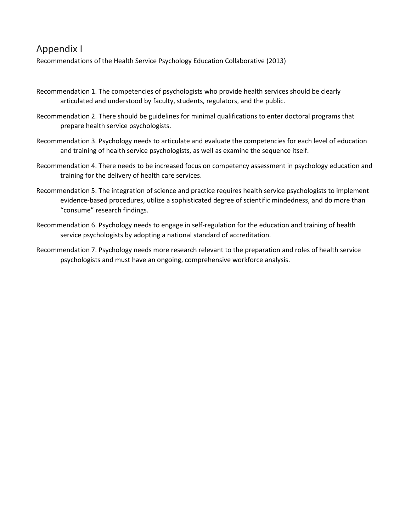## Appendix I

Recommendations of the Health Service Psychology Education Collaborative (2013)

- Recommendation 1. The competencies of psychologists who provide health services should be clearly articulated and understood by faculty, students, regulators, and the public.
- Recommendation 2. There should be guidelines for minimal qualifications to enter doctoral programs that prepare health service psychologists.
- Recommendation 3. Psychology needs to articulate and evaluate the competencies for each level of education and training of health service psychologists, as well as examine the sequence itself.
- Recommendation 4. There needs to be increased focus on competency assessment in psychology education and training for the delivery of health care services.
- Recommendation 5. The integration of science and practice requires health service psychologists to implement evidence-based procedures, utilize a sophisticated degree of scientific mindedness, and do more than "consume" research findings.
- Recommendation 6. Psychology needs to engage in self-regulation for the education and training of health service psychologists by adopting a national standard of accreditation.
- Recommendation 7. Psychology needs more research relevant to the preparation and roles of health service psychologists and must have an ongoing, comprehensive workforce analysis.